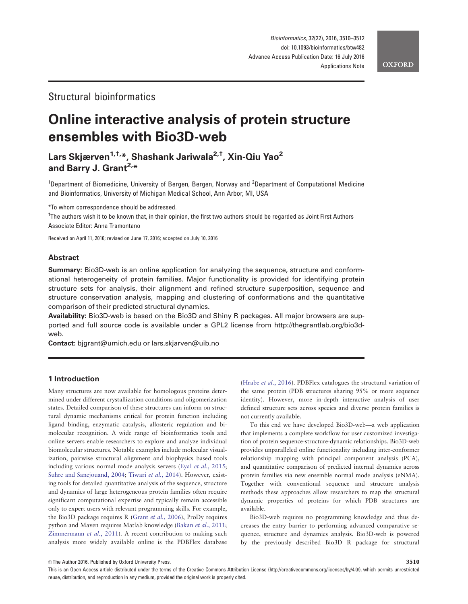# Structural bioinformatics

# Online interactive analysis of protein structure ensembles with Bio3D-web

# Lars Skjærven<sup>1,†,\*</sup>, Shashank Jariwala<sup>2,†</sup>, Xin-Qiu Yao<sup>2</sup> and Barry J. Grant<sup>2,\*</sup>

<sup>1</sup>Department of Biomedicine, University of Bergen, Bergen, Norway and <sup>2</sup>Department of Computational Medicine and Bioinformatics, University of Michigan Medical School, Ann Arbor, MI, USA

\*To whom correspondence should be addressed.

† The authors wish it to be known that, in their opinion, the first two authors should be regarded as Joint First Authors Associate Editor: Anna Tramontano

Received on April 11, 2016; revised on June 17, 2016; accepted on July 10, 2016

#### Abstract

Summary: Bio3D-web is an online application for analyzing the sequence, structure and conformational heterogeneity of protein families. Major functionality is provided for identifying protein structure sets for analysis, their alignment and refined structure superposition, sequence and structure conservation analysis, mapping and clustering of conformations and the quantitative comparison of their predicted structural dynamics.

Availability: Bio3D-web is based on the Bio3D and Shiny R packages. All major browsers are supported and full source code is available under a GPL2 license from [http://thegrantlab.org/bio3d](http://thegrantlab.org/bio3d-web)[web.](http://thegrantlab.org/bio3d-web)

Contact: bjgrant@umich.edu or lars.skjarven@uib.no

## 1 Introduction

Many structures are now available for homologous proteins determined under different crystallization conditions and oligomerization states. Detailed comparison of these structures can inform on structural dynamic mechanisms critical for protein function including ligand binding, enzymatic catalysis, allosteric regulation and bimolecular recognition. A wide range of bioinformatics tools and online servers enable researchers to explore and analyze individual biomolecular structures. Notable examples include molecular visualization, pairwise structural alignment and biophysics based tools including various normal mode analysis servers (Eyal et al.[, 2015;](#page-1-0) [Suhre and Sanejouand, 2004](#page-2-0); [Tiwari](#page-2-0) et al., 2014). However, existing tools for detailed quantitative analysis of the sequence, structure and dynamics of large heterogeneous protein families often require significant computational expertise and typically remain accessible only to expert users with relevant programming skills. For example, the Bio3D package requires R (Grant et al.[, 2006](#page-1-0)), ProDy requires python and Maven requires Matlab knowledge (Bakan et al.[, 2011;](#page-1-0) [Zimmermann](#page-2-0) et al., 2011). A recent contribution to making such analysis more widely available online is the PDBFlex database

(Hrabe et al.[, 2016](#page-1-0)). PDBFlex catalogues the structural variation of the same protein (PDB structures sharing 95% or more sequence identity). However, more in-depth interactive analysis of user defined structure sets across species and diverse protein families is not currently available.

To this end we have developed Bio3D-web—a web application that implements a complete workflow for user customized investigation of protein sequence-structure-dynamic relationships. Bio3D-web provides unparalleled online functionality including inter-conformer relationship mapping with principal component analysis (PCA), and quantitative comparison of predicted internal dynamics across protein families via new ensemble normal mode analysis (eNMA). Together with conventional sequence and structure analysis methods these approaches allow researchers to map the structural dynamic properties of proteins for which PDB structures are available.

Bio3D-web requires no programming knowledge and thus decreases the entry barrier to performing advanced comparative sequence, structure and dynamics analysis. Bio3D-web is powered by the previously described Bio3D R package for structural

 $\oslash$  The Author 2016. Published by Oxford University Press.  $3510$ 

This is an Open Access article distributed under the terms of the Creative Commons Attribution License (http://creativecommons.org/licenses/by/4.0/), which permits unrestricted reuse, distribution, and reproduction in any medium, provided the original work is properly cited.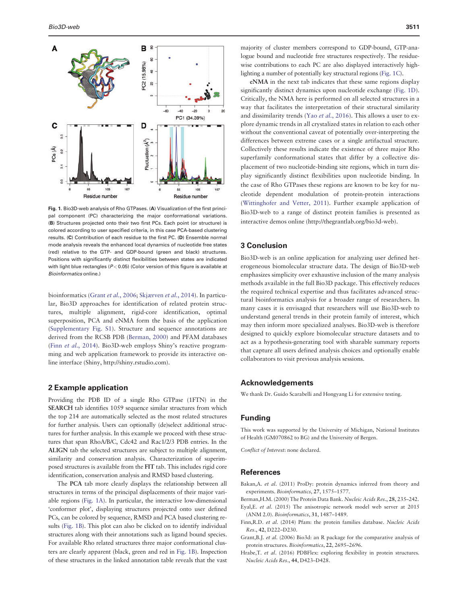<span id="page-1-0"></span>

Fig. 1. Bio3D-web analysis of Rho GTPases. (A) Visualization of the first principal component (PC) characterizing the major conformational variations. (B) Structures projected onto their two first PCs. Each point (or structure) is colored according to user specified criteria, in this case PCA-based clustering results. (C) Contribution of each residue to the first PC. (D) Ensemble normal mode analysis reveals the enhanced local dynamics of nucleotide free states (red) relative to the GTP- and GDP-bound (green and black) structures. Positions with significantly distinct flexibilities between states are indicated with light blue rectangles ( $P < 0.05$ ) (Color version of this figure is available at Bioinformatics online.)

bioinformatics (Grant et al., 2006; [Skjærven](#page-2-0) et al., 2014). In particular, Bio3D approaches for identification of related protein structures, multiple alignment, rigid-core identification, optimal superposition, PCA and eNMA form the basis of the application ([Supplementary Fig. S1](http://bioinformatics.oxfordjournals.org/lookup/suppl/doi:10.1093/bioinformatics/btw482/-/DC1)). Structure and sequence annotations are derived from the RCSB PDB (Berman, 2000) and PFAM databases (Finn et al., 2014). Bio3D-web employs Shiny's reactive programming and web application framework to provide its interactive online interface (Shiny, [http://shiny.rstudio.com\)](http://shiny.rstudio.com).

#### 2 Example application

Providing the PDB ID of a single Rho GTPase (1FTN) in the SEARCH tab identifies 1059 sequence similar structures from which the top 214 are automatically selected as the most related structures for further analysis. Users can optionally (de)select additional structures for further analysis. In this example we proceed with these structures that span RhoA/B/C, Cdc42 and Rac1/2/3 PDB entries. In the ALIGN tab the selected structures are subject to multiple alignment, similarity and conservation analysis. Characterization of superimposed structures is available from the FIT tab. This includes rigid core identification, conservation analysis and RMSD based clustering.

The PCA tab more clearly displays the relationship between all structures in terms of the principal displacements of their major variable regions (Fig. 1A). In particular, the interactive low-dimensional 'conformer plot', displaying structures projected onto user defined PCs, can be colored by sequence, RMSD and PCA based clustering results (Fig. 1B). This plot can also be clicked on to identify individual structures along with their annotations such as ligand bound species. For available Rho related structures three major conformational clusters are clearly apparent (black, green and red in Fig. 1B). Inspection of these structures in the linked annotation table reveals that the vast

majority of cluster members correspond to GDP-bound, GTP-analogue bound and nucleotide free structures respectively. The residuewise contributions to each PC are also displayed interactively highlighting a number of potentially key structural regions (Fig. 1C).

eNMA in the next tab indicates that these same regions display significantly distinct dynamics upon nucleotide exchange (Fig. 1D). Critically, the NMA here is performed on all selected structures in a way that facilitates the interpretation of their structural similarity and dissimilarity trends (Yao et al.[, 2016\)](#page-2-0). This allows a user to explore dynamic trends in all crystalized states in relation to each other without the conventional caveat of potentially over-interpreting the differences between extreme cases or a single artifactual structure. Collectively these results indicate the existence of three major Rho superfamily conformational states that differ by a collective displacement of two nucleotide-binding site regions, which in turn display significantly distinct flexibilities upon nucleotide binding. In the case of Rho GTPases these regions are known to be key for nucleotide dependent modulation of protein-protein interactions ([Wittinghofer and Vetter, 2011](#page-2-0)). Further example application of Bio3D-web to a range of distinct protein families is presented as interactive demos online [\(http://thegrantlab.org/bio3d-web](http://thegrantlab.org/bio3d-web)).

### 3 Conclusion

Bio3D-web is an online application for analyzing user defined heterogeneous biomolecular structure data. The design of Bio3D-web emphasizes simplicity over exhaustive inclusion of the many analysis methods available in the full Bio3D package. This effectively reduces the required technical expertise and thus facilitates advanced structural bioinformatics analysis for a broader range of researchers. In many cases it is envisaged that researchers will use Bio3D-web to understand general trends in their protein family of interest, which may then inform more specialized analyses. Bio3D-web is therefore designed to quickly explore biomolecular structure datasets and to act as a hypothesis-generating tool with sharable summary reports that capture all users defined analysis choices and optionally enable collaborators to visit previous analysis sessions.

#### Acknowledgements

We thank Dr. Guido Scarabelli and Hongyang Li for extensive testing.

#### Funding

This work was supported by the University of Michigan, National Institutes of Health (GM070862 to BG) and the University of Bergen.

Conflict of Interest: none declared.

## **References**

- Bakan,A. et al. (2011) ProDy: protein dynamics inferred from theory and experiments. Bioinformatics, 27, 1575–1577.
- Berman,H.M. (2000) The Protein Data Bank. Nucleic Acids Res., 28, 235–242.
- Eyal,E. et al. (2015) The anisotropic network model web server at 2015 (ANM 2.0). Bioinformatics, 31, 1487–1489.
- Finn,R.D. et al. (2014) Pfam: the protein families database. Nucleic Acids Res., 42, D222–D230.
- Grant,B.J. et al. (2006) Bio3d: an R package for the comparative analysis of protein structures. Bioinformatics, 22, 2695–2696.
- Hrabe, T. et al. (2016) PDBFlex: exploring flexibility in protein structures. Nucleic Acids Res., 44, D423–D428.